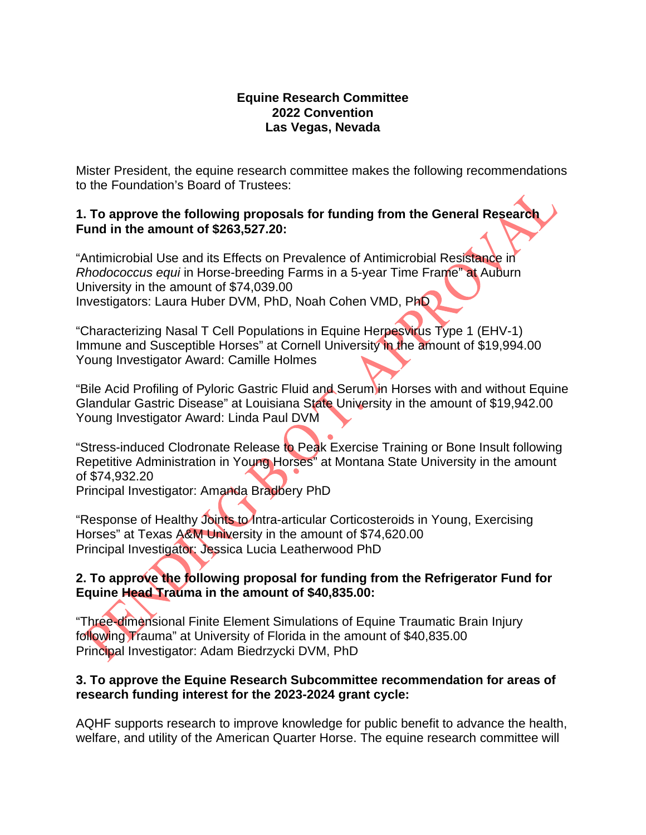## **Equine Research Committee 2022 Convention Las Vegas, Nevada**

Mister President, the equine research committee makes the following recommendations to the Foundation's Board of Trustees:

## **1. To approve the following proposals for funding from the General Research Fund in the amount of \$263,527.20:**

"Antimicrobial Use and its Effects on Prevalence of Antimicrobial Resistance in *Rhodococcus equi* in Horse-breeding Farms in a 5-year Time Frame" at Auburn University in the amount of \$74,039.00 Investigators: Laura Huber DVM, PhD, Noah Cohen VMD, PhD

"Characterizing Nasal T Cell Populations in Equine Herpesvirus Type 1 (EHV-1) Immune and Susceptible Horses" at Cornell University in the amount of \$19,994.00 Young Investigator Award: Camille Holmes

"Bile Acid Profiling of Pyloric Gastric Fluid and Serum in Horses with and without Equine Glandular Gastric Disease" at Louisiana State University in the amount of \$19,942.00 Young Investigator Award: Linda Paul DVM

"Stress-induced Clodronate Release to Peak Exercise Training or Bone Insult following Repetitive Administration in Young Horses" at Montana State University in the amount of \$74,932.20

Principal Investigator: Amanda Bradbery PhD

"Response of Healthy Joints to Intra-articular Corticosteroids in Young, Exercising Horses" at Texas A&M University in the amount of \$74,620.00 Principal Investigator: Jessica Lucia Leatherwood PhD

# **2. To approve the following proposal for funding from the Refrigerator Fund for Equine Head Trauma in the amount of \$40,835.00:**

"Three-dimensional Finite Element Simulations of Equine Traumatic Brain Injury following Trauma" at University of Florida in the amount of \$40,835.00 Principal Investigator: Adam Biedrzycki DVM, PhD

# **3. To approve the Equine Research Subcommittee recommendation for areas of research funding interest for the 2023-2024 grant cycle:**

AQHF supports research to improve knowledge for public benefit to advance the health, welfare, and utility of the American Quarter Horse. The equine research committee will